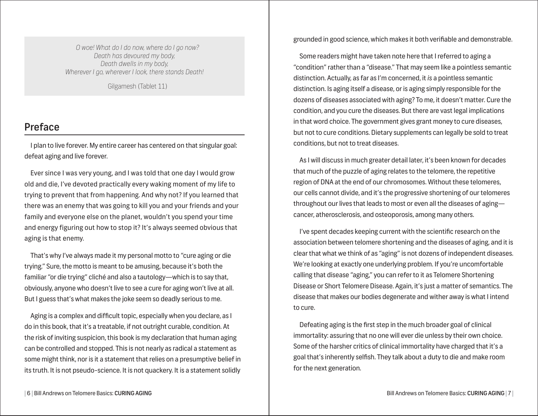*O woe! What do I do now, where do I go now? Death has devoured my body, Death dwells in my body, Wherever I go, wherever I look, there stands Death!*

Gilgamesh (Tablet 11)

## Preface

I plan to live forever. My entire career has centered on that singular goal: defeat aging and live forever.

Ever since I was very young, and I was told that one day I would grow old and die, I've devoted practically every waking moment of my life to trying to prevent that from happening. And why not? If you learned that there was an enemy that was going to kill you and your friends and your family and everyone else on the planet, wouldn't you spend your time and energy figuring out how to stop it? It's always seemed obvious that aging is that enemy.

That's why I've always made it my personal motto to "cure aging or die trying." Sure, the motto is meant to be amusing, because it's both the familiar "or die trying" cliché and also a tautology—which is to say that, obviously, anyone who doesn't live to see a cure for aging won't live at all. But I guess that's what makes the joke seem so deadly serious to me.

Aging is a complex and difficult topic, especially when you declare, as I do in this book, that it's a treatable, if not outright curable, condition. At the risk of inviting suspicion, this book is my declaration that human aging can be controlled and stopped. This is not nearly as radical a statement as some might think, nor is it a statement that relies on a presumptive belief in its truth. It is not pseudo-science. It is not quackery. It is a statement solidly

grounded in good science, which makes it both verifiable and demonstrable.

Some readers might have taken note here that I referred to aging a "condition" rather than a "disease." That may seem like a pointless semantic distinction. Actually, as far as I'm concerned, it *is* a pointless semantic distinction. Is aging itself a disease, or is aging simply responsible for the dozens of diseases associated with aging? To me, it doesn't matter. Cure the condition, and you cure the diseases. But there are vast legal implications in that word choice. The government gives grant money to cure diseases, but not to cure conditions. Dietary supplements can legally be sold to treat conditions, but not to treat diseases.

As I will discuss in much greater detail later, it's been known for decades that much of the puzzle of aging relates to the telomere, the repetitive region of DNA at the end of our chromosomes. Without these telomeres, our cells cannot divide, and it's the progressive shortening of our telomeres throughout our lives that leads to most or even all the diseases of agingcancer, atherosclerosis, and osteoporosis, among many others.

I've spent decades keeping current with the scientific research on the association between telomere shortening and the diseases of aging, and it is clear that what we think of as "aging" is not dozens of independent diseases. We're looking at exactly one underlying problem. If you're uncomfortable calling that disease "aging," you can refer to it as Telomere Shortening Disease or Short Telomere Disease. Again, it's just a matter of semantics. The disease that makes our bodies degenerate and wither away is what I intend to cure.

Defeating aging is the first step in the much broader goal of clinical immortality: assuring that no one will ever die unless by their own choice. Some of the harsher critics of clinical immortality have charged that it's a goal that's inherently selfish. They talk about a duty to die and make room for the next generation.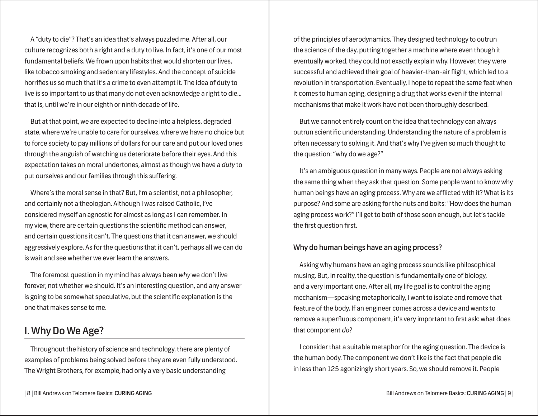A "duty to die"? That's an idea that's always puzzled me. After all, our culture recognizes both a right and a duty to live. In fact, it's one of our most fundamental beliefs. We frown upon habits that would shorten our lives, like tobacco smoking and sedentary lifestyles. And the concept of suicide horrifies us so much that it's a crime to even attempt it. The idea of duty to live is so important to us that many do not even acknowledge a right to die... that is, until we're in our eighth or ninth decade of life.

But at that point, we are expected to decline into a helpless, degraded state, where we're unable to care for ourselves, where we have no choice but to force society to pay millions of dollars for our care and put our loved ones through the anguish of watching us deteriorate before their eyes. And this expectation takes on moral undertones, almost as though we have a *duty* to put ourselves and our families through this suffering.

Where's the moral sense in that? But, I'm a scientist, not a philosopher, and certainly not a theologian. Although I was raised Catholic, I've considered myself an agnostic for almost as long as I can remember. In my view, there are certain questions the scientific method can answer, and certain questions it can't. The questions that it can answer, we should aggressively explore. As for the questions that it can't, perhaps all we can do is wait and see whether we ever learn the answers.

The foremost question in my mind has always been *why* we don't live forever, not whether we should. It's an interesting question, and any answer is going to be somewhat speculative, but the scientific explanation is the one that makes sense to me.

# I. Why Do We Age?

Throughout the history of science and technology, there are plenty of examples of problems being solved before they are even fully understood. The Wright Brothers, for example, had only a very basic understanding

of the principles of aerodynamics. They designed technology to outrun the science of the day, putting together a machine where even though it eventually worked, they could not exactly explain why. However, they were successful and achieved their goal of heavier-than-air flight, which led to a revolution in transportation. Eventually, I hope to repeat the same feat when it comes to human aging, designing a drug that works even if the internal mechanisms that make it work have not been thoroughly described.

But we cannot entirely count on the idea that technology can always outrun scientific understanding. Understanding the nature of a problem is often necessary to solving it. And that's why I've given so much thought to the question: "why do we age?"

It's an ambiguous question in many ways. People are not always asking the same thing when they ask that question. Some people want to know why human beings have an aging process. Why are we afflicted with it? What is its purpose? And some are asking for the nuts and bolts: "How does the human aging process work?" I'll get to both of those soon enough, but let's tackle the first question first.

## Why do human beings have an aging process?

Asking why humans have an aging process sounds like philosophical musing. But, in reality, the question is fundamentally one of biology, and a very important one. After all, my life goal is to control the aging mechanism—speaking metaphorically, I want to isolate and remove that feature of the body. If an engineer comes across a device and wants to remove a superfluous component, it's very important to first ask: what does that component *do*?

I consider that a suitable metaphor for the aging question. The device is the human body. The component we don't like is the fact that people die in less than 125 agonizingly short years. So, we should remove it. People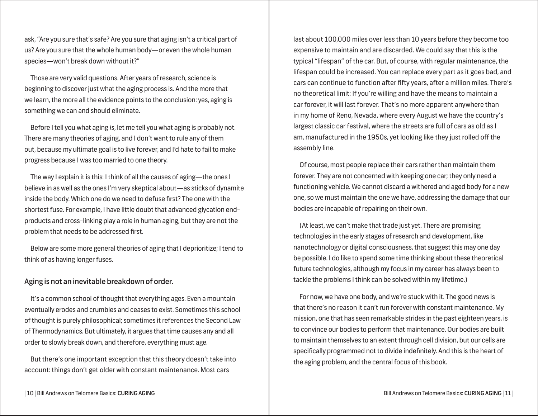ask, "Are you sure that's safe? Are you sure that aging isn't a critical part of us? Are you sure that the whole human body—or even the whole human species—won't break down without it?"

Those are very valid questions. After years of research, science is beginning to discover just what the aging process is. And the more that we learn, the more all the evidence points to the conclusion: yes, aging is something we can and should eliminate.

Before I tell you what aging *is*, let me tell you what aging is probably not. There are many theories of aging, and I don't want to rule any of them out, because my ultimate goal is to live forever, and I'd hate to fail to make progress because I was too married to one theory.

The way I explain it is this: I think of all the causes of aging—the ones I believe in as well as the ones I'm very skeptical about—as sticks of dynamite inside the body. Which one do we need to defuse first? The one with the shortest fuse. For example, I have little doubt that advanced glycation endproducts and cross-linking play a role in human aging, but they are not the problem that needs to be addressed first.

Below are some more general theories of aging that I deprioritize; I tend to think of as having longer fuses.

## Aging is not an inevitable breakdown of order.

It's a common school of thought that everything ages. Even a mountain eventually erodes and crumbles and ceases to exist. Sometimes this school of thought is purely philosophical; sometimes it references the Second Law of Thermodynamics. But ultimately, it argues that time causes any and all order to slowly break down, and therefore, everything must age.

But there's one important exception that this theory doesn't take into account: things don't get older with constant maintenance. Most cars

last about 100,000 miles over less than 10 years before they become too expensive to maintain and are discarded. We could say that this is the typical "lifespan" of the car. But, of course, with regular maintenance, the lifespan could be increased. You can replace every part as it goes bad, and cars can continue to function after fifty years, after a million miles. There's no theoretical limit: If you're willing and have the means to maintain a car forever, it will last forever. That's no more apparent anywhere than in my home of Reno, Nevada, where every August we have the country's largest classic car festival, where the streets are full of cars as old as I am, manufactured in the 1950s, yet looking like they just rolled off the assembly line.

Of course, most people replace their cars rather than maintain them forever. They are not concerned with keeping one car; they only need a functioning vehicle. We cannot discard a withered and aged body for a new one, so we must maintain the one we have, addressing the damage that our bodies are incapable of repairing on their own.

(At least, we can't make that trade just yet. There are promising technologies in the early stages of research and development, like nanotechnology or digital consciousness, that suggest this may one day be possible. I do like to spend some time thinking about these theoretical future technologies, although my focus in my career has always been to tackle the problems I think can be solved within my lifetime.)

For now, we have one body, and we're stuck with it. The good news is that there's no reason it can't run forever with constant maintenance. My mission, one that has seen remarkable strides in the past eighteen years, is to convince our bodies to perform that maintenance. Our bodies are built to maintain themselves to an extent through cell division, but our cells are specifically programmed not to divide indefinitely. And this is the heart of the aging problem, and the central focus of this book.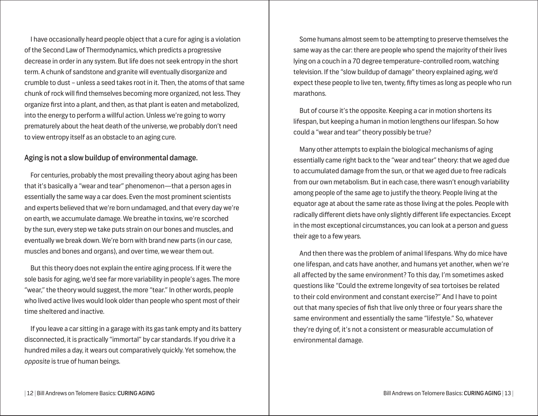I have occasionally heard people object that a cure for aging is a violation of the Second Law of Thermodynamics, which predicts a progressive decrease in order in any system. But life does not seek entropy in the short term. A chunk of sandstone and granite will eventually disorganize and crumble to dust – unless a seed takes root in it. Then, the atoms of that same chunk of rock will find themselves becoming more organized, not less. They organize first into a plant, and then, as that plant is eaten and metabolized, into the energy to perform a willful action. Unless we're going to worry prematurely about the heat death of the universe, we probably don't need to view entropy itself as an obstacle to an aging cure.

## Aging is not a slow buildup of environmental damage.

For centuries, probably the most prevailing theory about aging has been that it's basically a "wear and tear" phenomenon—that a person ages in essentially the same way a car does. Even the most prominent scientists and experts believed that we're born undamaged, and that every day we're on earth, we accumulate damage. We breathe in toxins, we're scorched by the sun, every step we take puts strain on our bones and muscles, and eventually we break down. We're born with brand new parts (in our case, muscles and bones and organs), and over time, we wear them out.

But this theory does not explain the entire aging process. If it were the sole basis for aging, we'd see far more variability in people's ages. The more "wear," the theory would suggest, the more "tear." In other words, people who lived active lives would look older than people who spent most of their time sheltered and inactive.

If you leave a car sitting in a garage with its gas tank empty and its battery disconnected, it is practically "immortal" by car standards. If you drive it a hundred miles a day, it wears out comparatively quickly. Yet somehow, the *opposite* is true of human beings.

Some humans almost seem to be attempting to preserve themselves the same way as the car: there are people who spend the majority of their lives lying on a couch in a 70 degree temperature-controlled room, watching television. If the "slow buildup of damage" theory explained aging, we'd expect these people to live ten, twenty, fifty times as long as people who run marathons.

But of course it's the opposite. Keeping a car in motion shortens its lifespan, but keeping a human in motion lengthens our lifespan. So how could a "wear and tear" theory possibly be true?

Many other attempts to explain the biological mechanisms of aging essentially came right back to the "wear and tear" theory: that we aged due to accumulated damage from the sun, or that we aged due to free radicals from our own metabolism. But in each case, there wasn't enough variability among people of the same age to justify the theory. People living at the equator age at about the same rate as those living at the poles. People with radically different diets have only slightly different life expectancies. Except in the most exceptional circumstances, you can look at a person and guess their age to a few years.

And then there was the problem of animal lifespans. Why do mice have one lifespan, and cats have another, and humans yet another, when we're all affected by the same environment? To this day, I'm sometimes asked questions like "Could the extreme longevity of sea tortoises be related to their cold environment and constant exercise?" And I have to point out that many species of fish that live only three or four years share the same environment and essentially the same "lifestyle." So, whatever they're dying of, it's not a consistent or measurable accumulation of environmental damage.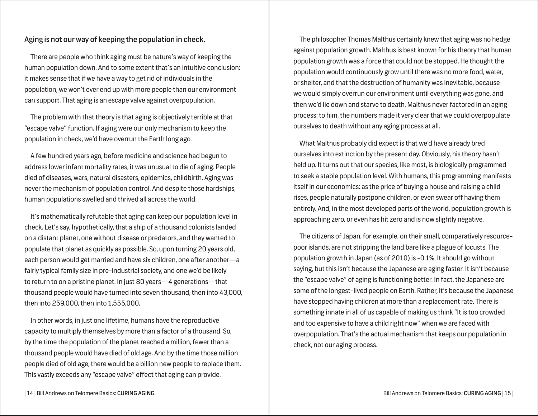## Aging is not our way of keeping the population in check.

There are people who think aging must be nature's way of keeping the human population down. And to some extent that's an intuitive conclusion: it makes sense that if we have a way to get rid of individuals in the population, we won't ever end up with more people than our environment can support. That aging is an escape valve against overpopulation.

The problem with that theory is that aging is objectively terrible at that "escape valve" function. If aging were our only mechanism to keep the population in check, we'd have overrun the Earth long ago.

A few hundred years ago, before medicine and science had begun to address lower infant mortality rates, it was unusual to die of aging. People died of diseases, wars, natural disasters, epidemics, childbirth. Aging was never the mechanism of population control. And despite those hardships, human populations swelled and thrived all across the world.

It's mathematically refutable that aging can keep our population level in check. Let's say, hypothetically, that a ship of a thousand colonists landed on a distant planet, one without disease or predators, and they wanted to populate that planet as quickly as possible. So, upon turning 20 years old, each person would get married and have six children, one after another—a fairly typical family size in pre-industrial society, and one we'd be likely to return to on a pristine planet. In just 80 years—4 generations—that thousand people would have turned into seven thousand, then into 43,000, then into 259,000, then into 1,555,000.

In other words, in just one lifetime, humans have the reproductive capacity to multiply themselves by more than a factor of a thousand. So, by the time the population of the planet reached a million, fewer than a thousand people would have died of old age. And by the time those million people died of old age, there would be a billion new people to replace them. This vastly exceeds any "escape valve" effect that aging can provide.

The philosopher Thomas Malthus certainly knew that aging was no hedge against population growth. Malthus is best known for his theory that human population growth was a force that could not be stopped. He thought the population would continuously grow until there was no more food, water, or shelter, and that the destruction of humanity was inevitable, because we would simply overrun our environment until everything was gone, and then we'd lie down and starve to death. Malthus never factored in an aging process: to him, the numbers made it very clear that we could overpopulate ourselves to death without any aging process at all.

What Malthus probably did expect is that we'd have already bred ourselves into extinction by the present day. Obviously, his theory hasn't held up. It turns out that our species, like most, is biologically programmed to seek a stable population level. With humans, this programming manifests itself in our economics: as the price of buying a house and raising a child rises, people naturally postpone children, or even swear off having them entirely. And, in the most developed parts of the world, population growth is approaching zero, or even has hit zero and is now slightly negative.

The citizens of Japan, for example, on their small, comparatively resourcepoor islands, are not stripping the land bare like a plague of locusts. The population growth in Japan (as of 2010) is -0.1%. It should go without saying, but this isn't because the Japanese are aging faster. It isn't because the "escape valve" of aging is functioning better. In fact, the Japanese are some of the longest-lived people on Earth. Rather, it's because the Japanese have stopped having children at more than a replacement rate. There is something innate in all of us capable of making us think "It is too crowded and too expensive to have a child right now" when we are faced with overpopulation. That's the actual mechanism that keeps our population in check, not our aging process.

| 14 | Bill Andrews on Telomere Basics: CURING AGING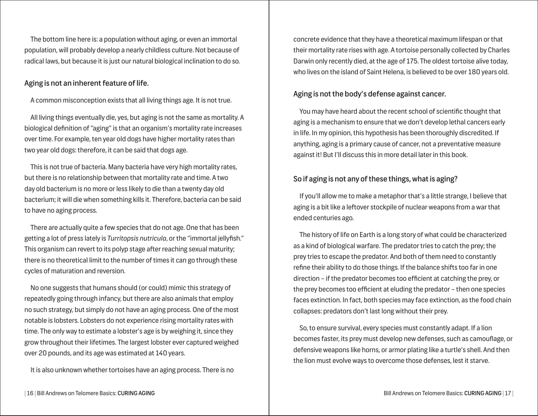The bottom line here is: a population without aging, or even an immortal population, will probably develop a nearly childless culture. Not because of radical laws, but because it is just our natural biological inclination to do so.

#### Aging is not an inherent feature of life.

A common misconception exists that all living things age. It is not true.

All living things eventually die, yes, but aging is not the same as mortality. A biological definition of "aging" is that an organism's mortality rate increases over time. For example, ten year old dogs have higher mortality rates than two year old dogs: therefore, it can be said that dogs age.

This is not true of bacteria. Many bacteria have very high mortality rates, but there is no relationship between that mortality rate and time. A two day old bacterium is no more or less likely to die than a twenty day old bacterium; it will die when something kills it. Therefore, bacteria can be said to have no aging process.

There are actually quite a few species that do not age. One that has been getting a lot of press lately is *Turritopsis nutricula*, or the "immortal jellyfish." This organism can revert to its polyp stage after reaching sexual maturity; there is no theoretical limit to the number of times it can go through these cycles of maturation and reversion.

No one suggests that humans should (or could) mimic this strategy of repeatedly going through infancy, but there are also animals that employ no such strategy, but simply do not have an aging process. One of the most notable is lobsters. Lobsters do not experience rising mortality rates with time. The only way to estimate a lobster's age is by weighing it, since they grow throughout their lifetimes. The largest lobster ever captured weighed over 20 pounds, and its age was estimated at 140 years.

It is also unknown whether tortoises have an aging process. There is no

concrete evidence that they have a theoretical maximum lifespan or that their mortality rate rises with age. A tortoise personally collected by Charles Darwin only recently died, at the age of 175. The oldest tortoise alive today, who lives on the island of Saint Helena, is believed to be over 180 years old.

## Aging is not the body's defense against cancer.

You may have heard about the recent school of scientific thought that aging is a mechanism to ensure that we don't develop lethal cancers early in life. In my opinion, this hypothesis has been thoroughly discredited. If anything, aging is a primary cause of cancer, not a preventative measure against it! But I'll discuss this in more detail later in this book.

## So if aging is not any of these things, what is aging?

If you'll allow me to make a metaphor that's a little strange, I believe that aging is a bit like a leftover stockpile of nuclear weapons from a war that ended centuries ago.

The history of life on Earth is a long story of what could be characterized as a kind of biological warfare. The predator tries to catch the prey; the prey tries to escape the predator. And both of them need to constantly refine their ability to do those things. If the balance shifts too far in one direction – if the predator becomes too efficient at catching the prey, or the prey becomes too efficient at eluding the predator – then one species faces extinction. In fact, both species may face extinction, as the food chain collapses: predators don't last long without their prey.

So, to ensure survival, every species must constantly adapt. If a lion becomes faster, its prey must develop new defenses, such as camouflage, or defensive weapons like horns, or armor plating like a turtle's shell. And then the lion must evolve ways to overcome those defenses, lest it starve.